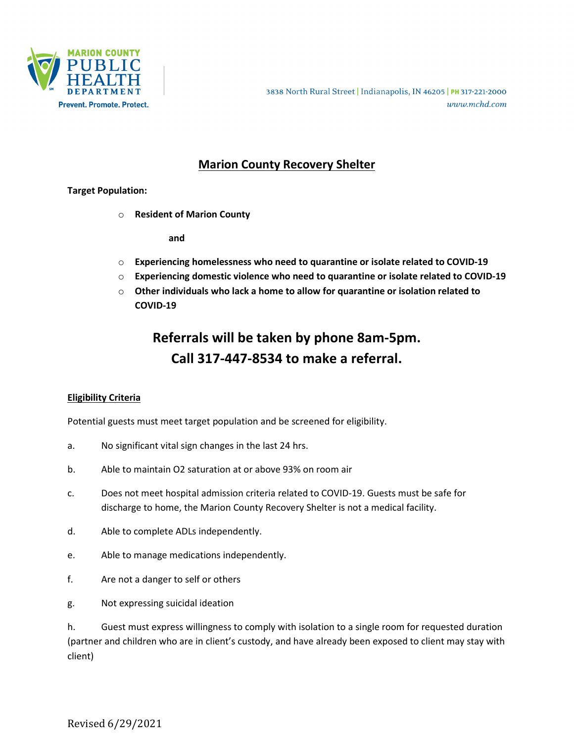

3838 North Rural Street | Indianapolis, IN 46205 | PH 317-221-2000 www.mchd.com

## **Marion County Recovery Shelter**

### **Target Population:**

o **Resident of Marion County**

**and**

- o **Experiencing homelessness who need to quarantine or isolate related to COVID-19**
- o **Experiencing domestic violence who need to quarantine or isolate related to COVID-19**
- o **Other individuals who lack a home to allow for quarantine or isolation related to COVID-19**

# **Referrals will be taken by phone 8am-5pm. Call 317-447-8534 to make a referral.**

### **Eligibility Criteria**

Potential guests must meet target population and be screened for eligibility.

- a. No significant vital sign changes in the last 24 hrs.
- b. Able to maintain O2 saturation at or above 93% on room air
- c. Does not meet hospital admission criteria related to COVID-19. Guests must be safe for discharge to home, the Marion County Recovery Shelter is not a medical facility.
- d. Able to complete ADLs independently.
- e. Able to manage medications independently.
- f. Are not a danger to self or others
- g. Not expressing suicidal ideation

h. Guest must express willingness to comply with isolation to a single room for requested duration (partner and children who are in client's custody, and have already been exposed to client may stay with client)